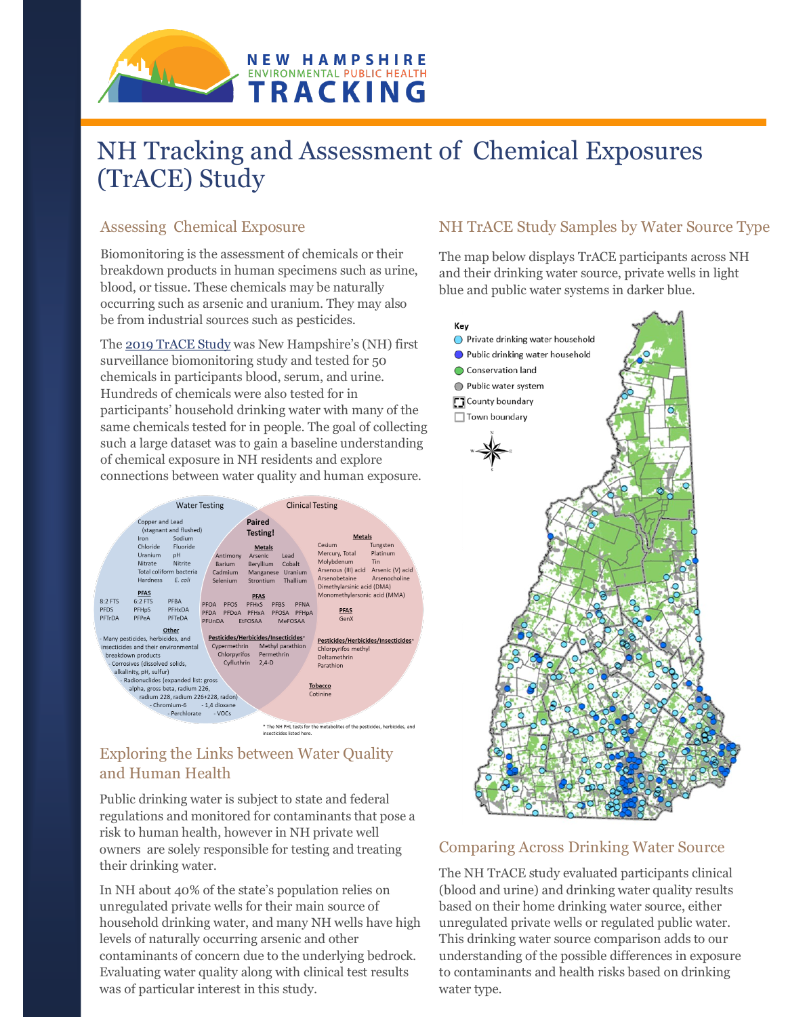

# NH Tracking and Assessment of Chemical Exposures (TrACE) Study

## Assessing Chemical Exposure

Biomonitoring is the assessment of chemicals or their breakdown products in human specimens such as urine, blood, or tissue. These chemicals may be naturally occurring such as arsenic and uranium. They may also be from industrial sources such as pesticides.

The [2019 TrACE Study](http://www.tinyurl.com/2019TrACEreport) was New Hampshire's (NH) first surveillance biomonitoring study and tested for 50 chemicals in participants blood, serum, and urine. Hundreds of chemicals were also tested for in participants' household drinking water with many of the same chemicals tested for in people. The goal of collecting such a large dataset was to gain a baseline understanding of chemical exposure in NH residents and explore connections between water quality and human exposure.



## Exploring the Links between Water Quality and Human Health

Public drinking water is subject to state and federal regulations and monitored for contaminants that pose a risk to human health, however in NH private well owners are solely responsible for testing and treating their drinking water.

In NH about 40% of the state's population relies on unregulated private wells for their main source of household drinking water, and many NH wells have high levels of naturally occurring arsenic and other contaminants of concern due to the underlying bedrock. Evaluating water quality along with clinical test results was of particular interest in this study.

## NH TrACE Study Samples by Water Source Type

The map below displays TrACE participants across NH and their drinking water source, private wells in light blue and public water systems in darker blue.



#### Comparing Across Drinking Water Source

The NH TrACE study evaluated participants clinical (blood and urine) and drinking water quality results based on their home drinking water source, either unregulated private wells or regulated public water. This drinking water source comparison adds to our understanding of the possible differences in exposure to contaminants and health risks based on drinking water type.